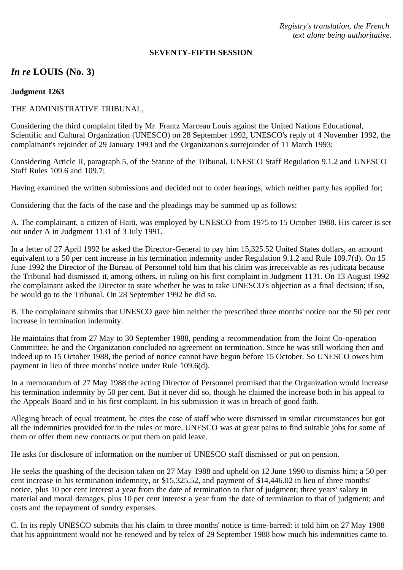*Registry's translation, the French text alone being authoritative.*

#### **SEVENTY-FIFTH SESSION**

# *In re* **LOUIS (No. 3)**

### **Judgment 1263**

# THE ADMINISTRATIVE TRIBUNAL,

Considering the third complaint filed by Mr. Frantz Marceau Louis against the United Nations Educational, Scientific and Cultural Organization (UNESCO) on 28 September 1992, UNESCO's reply of 4 November 1992, the complainant's rejoinder of 29 January 1993 and the Organization's surrejoinder of 11 March 1993;

Considering Article II, paragraph 5, of the Statute of the Tribunal, UNESCO Staff Regulation 9.1.2 and UNESCO Staff Rules 109.6 and 109.7;

Having examined the written submissions and decided not to order hearings, which neither party has applied for;

Considering that the facts of the case and the pleadings may be summed up as follows:

A. The complainant, a citizen of Haiti, was employed by UNESCO from 1975 to 15 October 1988. His career is set out under A in Judgment 1131 of 3 July 1991.

In a letter of 27 April 1992 he asked the Director-General to pay him 15,325.52 United States dollars, an amount equivalent to a 50 per cent increase in his termination indemnity under Regulation 9.1.2 and Rule 109.7(d). On 15 June 1992 the Director of the Bureau of Personnel told him that his claim was irreceivable as res judicata because the Tribunal had dismissed it, among others, in ruling on his first complaint in Judgment 1131. On 13 August 1992 the complainant asked the Director to state whether he was to take UNESCO's objection as a final decision; if so, he would go to the Tribunal. On 28 September 1992 he did so.

B. The complainant submits that UNESCO gave him neither the prescribed three months' notice nor the 50 per cent increase in termination indemnity.

He maintains that from 27 May to 30 September 1988, pending a recommendation from the Joint Co-operation Committee, he and the Organization concluded no agreement on termination. Since he was still working then and indeed up to 15 October 1988, the period of notice cannot have begun before 15 October. So UNESCO owes him payment in lieu of three months' notice under Rule 109.6(d).

In a memorandum of 27 May 1988 the acting Director of Personnel promised that the Organization would increase his termination indemnity by 50 per cent. But it never did so, though he claimed the increase both in his appeal to the Appeals Board and in his first complaint. In his submission it was in breach of good faith.

Alleging breach of equal treatment, he cites the case of staff who were dismissed in similar circumstances but got all the indemnities provided for in the rules or more. UNESCO was at great pains to find suitable jobs for some of them or offer them new contracts or put them on paid leave.

He asks for disclosure of information on the number of UNESCO staff dismissed or put on pension.

He seeks the quashing of the decision taken on 27 May 1988 and upheld on 12 June 1990 to dismiss him; a 50 per cent increase in his termination indemnity, or \$15,325.52, and payment of \$14,446.02 in lieu of three months' notice, plus 10 per cent interest a year from the date of termination to that of judgment; three years' salary in material and moral damages, plus 10 per cent interest a year from the date of termination to that of judgment; and costs and the repayment of sundry expenses.

C. In its reply UNESCO submits that his claim to three months' notice is time-barred: it told him on 27 May 1988 that his appointment would not be renewed and by telex of 29 September 1988 how much his indemnities came to.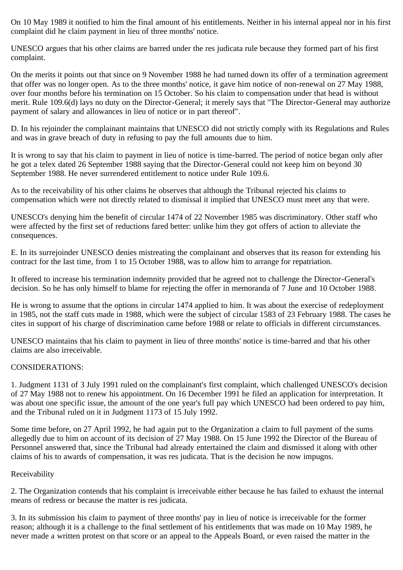On 10 May 1989 it notified to him the final amount of his entitlements. Neither in his internal appeal nor in his first complaint did he claim payment in lieu of three months' notice.

UNESCO argues that his other claims are barred under the res judicata rule because they formed part of his first complaint.

On the merits it points out that since on 9 November 1988 he had turned down its offer of a termination agreement that offer was no longer open. As to the three months' notice, it gave him notice of non-renewal on 27 May 1988, over four months before his termination on 15 October. So his claim to compensation under that head is without merit. Rule 109.6(d) lays no duty on the Director-General; it merely says that "The Director-General may authorize payment of salary and allowances in lieu of notice or in part thereof".

D. In his rejoinder the complainant maintains that UNESCO did not strictly comply with its Regulations and Rules and was in grave breach of duty in refusing to pay the full amounts due to him.

It is wrong to say that his claim to payment in lieu of notice is time-barred. The period of notice began only after he got a telex dated 26 September 1988 saying that the Director-General could not keep him on beyond 30 September 1988. He never surrendered entitlement to notice under Rule 109.6.

As to the receivability of his other claims he observes that although the Tribunal rejected his claims to compensation which were not directly related to dismissal it implied that UNESCO must meet any that were.

UNESCO's denying him the benefit of circular 1474 of 22 November 1985 was discriminatory. Other staff who were affected by the first set of reductions fared better: unlike him they got offers of action to alleviate the consequences.

E. In its surrejoinder UNESCO denies mistreating the complainant and observes that its reason for extending his contract for the last time, from 1 to 15 October 1988, was to allow him to arrange for repatriation.

It offered to increase his termination indemnity provided that he agreed not to challenge the Director-General's decision. So he has only himself to blame for rejecting the offer in memoranda of 7 June and 10 October 1988.

He is wrong to assume that the options in circular 1474 applied to him. It was about the exercise of redeployment in 1985, not the staff cuts made in 1988, which were the subject of circular 1583 of 23 February 1988. The cases he cites in support of his charge of discrimination came before 1988 or relate to officials in different circumstances.

UNESCO maintains that his claim to payment in lieu of three months' notice is time-barred and that his other claims are also irreceivable.

## CONSIDERATIONS:

1. Judgment 1131 of 3 July 1991 ruled on the complainant's first complaint, which challenged UNESCO's decision of 27 May 1988 not to renew his appointment. On 16 December 1991 he filed an application for interpretation. It was about one specific issue, the amount of the one year's full pay which UNESCO had been ordered to pay him, and the Tribunal ruled on it in Judgment 1173 of 15 July 1992.

Some time before, on 27 April 1992, he had again put to the Organization a claim to full payment of the sums allegedly due to him on account of its decision of 27 May 1988. On 15 June 1992 the Director of the Bureau of Personnel answered that, since the Tribunal had already entertained the claim and dismissed it along with other claims of his to awards of compensation, it was res judicata. That is the decision he now impugns.

## Receivability

2. The Organization contends that his complaint is irreceivable either because he has failed to exhaust the internal means of redress or because the matter is res judicata.

3. In its submission his claim to payment of three months' pay in lieu of notice is irreceivable for the former reason; although it is a challenge to the final settlement of his entitlements that was made on 10 May 1989, he never made a written protest on that score or an appeal to the Appeals Board, or even raised the matter in the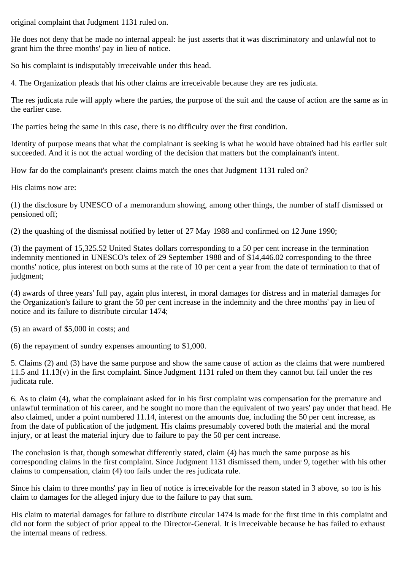original complaint that Judgment 1131 ruled on.

He does not deny that he made no internal appeal: he just asserts that it was discriminatory and unlawful not to grant him the three months' pay in lieu of notice.

So his complaint is indisputably irreceivable under this head.

4. The Organization pleads that his other claims are irreceivable because they are res judicata.

The res judicata rule will apply where the parties, the purpose of the suit and the cause of action are the same as in the earlier case.

The parties being the same in this case, there is no difficulty over the first condition.

Identity of purpose means that what the complainant is seeking is what he would have obtained had his earlier suit succeeded. And it is not the actual wording of the decision that matters but the complainant's intent.

How far do the complainant's present claims match the ones that Judgment 1131 ruled on?

His claims now are:

(1) the disclosure by UNESCO of a memorandum showing, among other things, the number of staff dismissed or pensioned off;

(2) the quashing of the dismissal notified by letter of 27 May 1988 and confirmed on 12 June 1990;

(3) the payment of 15,325.52 United States dollars corresponding to a 50 per cent increase in the termination indemnity mentioned in UNESCO's telex of 29 September 1988 and of \$14,446.02 corresponding to the three months' notice, plus interest on both sums at the rate of 10 per cent a year from the date of termination to that of judgment;

(4) awards of three years' full pay, again plus interest, in moral damages for distress and in material damages for the Organization's failure to grant the 50 per cent increase in the indemnity and the three months' pay in lieu of notice and its failure to distribute circular 1474;

(5) an award of \$5,000 in costs; and

(6) the repayment of sundry expenses amounting to \$1,000.

5. Claims (2) and (3) have the same purpose and show the same cause of action as the claims that were numbered 11.5 and 11.13(v) in the first complaint. Since Judgment 1131 ruled on them they cannot but fail under the res judicata rule.

6. As to claim (4), what the complainant asked for in his first complaint was compensation for the premature and unlawful termination of his career, and he sought no more than the equivalent of two years' pay under that head. He also claimed, under a point numbered 11.14, interest on the amounts due, including the 50 per cent increase, as from the date of publication of the judgment. His claims presumably covered both the material and the moral injury, or at least the material injury due to failure to pay the 50 per cent increase.

The conclusion is that, though somewhat differently stated, claim (4) has much the same purpose as his corresponding claims in the first complaint. Since Judgment 1131 dismissed them, under 9, together with his other claims to compensation, claim (4) too fails under the res judicata rule.

Since his claim to three months' pay in lieu of notice is irreceivable for the reason stated in 3 above, so too is his claim to damages for the alleged injury due to the failure to pay that sum.

His claim to material damages for failure to distribute circular 1474 is made for the first time in this complaint and did not form the subject of prior appeal to the Director-General. It is irreceivable because he has failed to exhaust the internal means of redress.